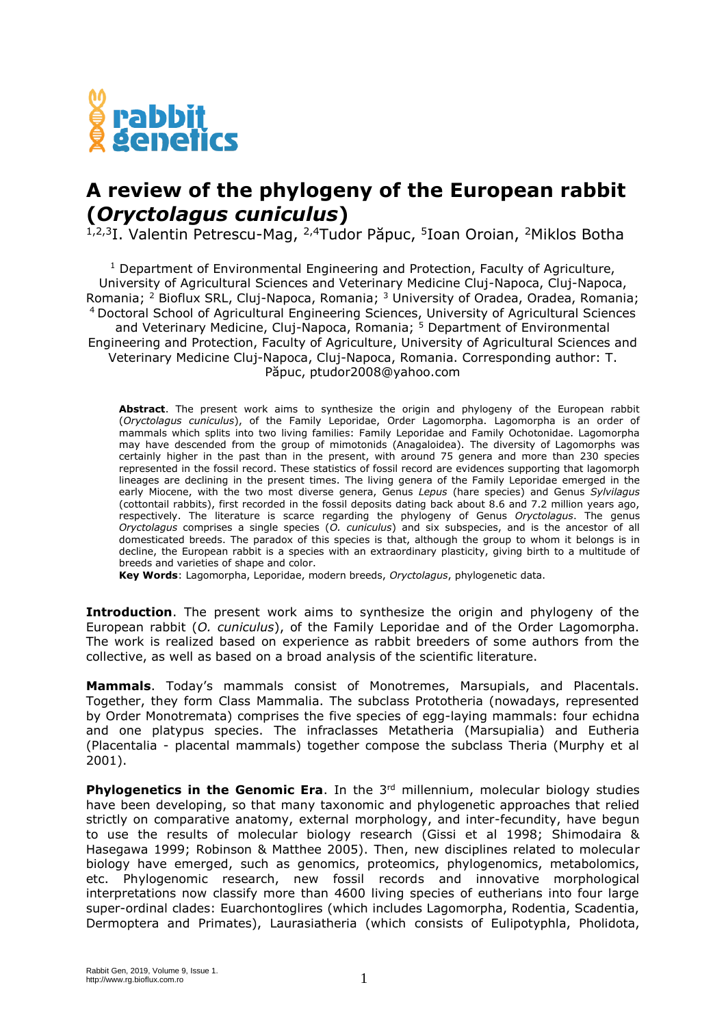

## **A review of the phylogeny of the European rabbit (***Oryctolagus cuniculus***)**

<sup>1,2,3</sup>I. Valentin Petrescu-Mag, <sup>2,4</sup>Tudor Păpuc, <sup>5</sup>Ioan Oroian, <sup>2</sup>Miklos Botha

<sup>1</sup> Department of Environmental Engineering and Protection, Faculty of Agriculture, University of Agricultural Sciences and Veterinary Medicine Cluj-Napoca, Cluj-Napoca, Romania; <sup>2</sup> Bioflux SRL, Cluj-Napoca, Romania;  $3$  University of Oradea, Oradea, Romania; <sup>4</sup> Doctoral School of Agricultural Engineering Sciences, University of Agricultural Sciences and Veterinary Medicine, Cluj-Napoca, Romania; <sup>5</sup> Department of Environmental Engineering and Protection, Faculty of Agriculture, University of Agricultural Sciences and Veterinary Medicine Cluj-Napoca, Cluj-Napoca, Romania. Corresponding author: T. Păpuc, ptudor2008@yahoo.com

**Abstract**. The present work aims to synthesize the origin and phylogeny of the European rabbit (*Oryctolagus cuniculus*), of the Family Leporidae, Order Lagomorpha. Lagomorpha is an order of mammals which splits into two living families: Family Leporidae and Family Ochotonidae. Lagomorpha may have descended from the group of mimotonids (Anagaloidea). The diversity of Lagomorphs was certainly higher in the past than in the present, with around 75 genera and more than 230 species represented in the fossil record. These statistics of fossil record are evidences supporting that lagomorph lineages are declining in the present times. The living genera of the Family Leporidae emerged in the early Miocene, with the two most diverse genera, Genus *Lepus* (hare species) and Genus *Sylvilagus* (cottontail rabbits), first recorded in the fossil deposits dating back about 8.6 and 7.2 million years ago, respectively. The literature is scarce regarding the phylogeny of Genus *Oryctolagus*. The genus *Oryctolagus* comprises a single species (*O. cuniculus*) and six subspecies, and is the ancestor of all domesticated breeds. The paradox of this species is that, although the group to whom it belongs is in decline, the European rabbit is a species with an extraordinary plasticity, giving birth to a multitude of breeds and varieties of shape and color.

**Key Words**: Lagomorpha, Leporidae, modern breeds, *Oryctolagus*, phylogenetic data.

**Introduction**. The present work aims to synthesize the origin and phylogeny of the European rabbit (*O. cuniculus*), of the Family Leporidae and of the Order Lagomorpha. The work is realized based on experience as rabbit breeders of some authors from the collective, as well as based on a broad analysis of the scientific literature.

**Mammals**. Today's mammals consist of Monotremes, Marsupials, and Placentals. Together, they form Class Mammalia. The subclass Prototheria (nowadays, represented by Order Monotremata) comprises the five species of egg-laying mammals: four echidna and one platypus species. The infraclasses Metatheria (Marsupialia) and Eutheria (Placentalia - placental mammals) together compose the subclass Theria (Murphy et al 2001).

**Phylogenetics in the Genomic Era**. In the 3<sup>rd</sup> millennium, molecular biology studies have been developing, so that many taxonomic and phylogenetic approaches that relied strictly on comparative anatomy, external morphology, and inter-fecundity, have begun to use the results of molecular biology research (Gissi et al 1998; Shimodaira & Hasegawa 1999; Robinson & Matthee 2005). Then, new disciplines related to molecular biology have emerged, such as genomics, proteomics, phylogenomics, metabolomics, etc. Phylogenomic research, new fossil records and innovative morphological interpretations now classify more than 4600 living species of eutherians into four large super-ordinal clades: Euarchontoglires (which includes Lagomorpha, Rodentia, Scadentia, Dermoptera and Primates), Laurasiatheria (which consists of Eulipotyphla, Pholidota,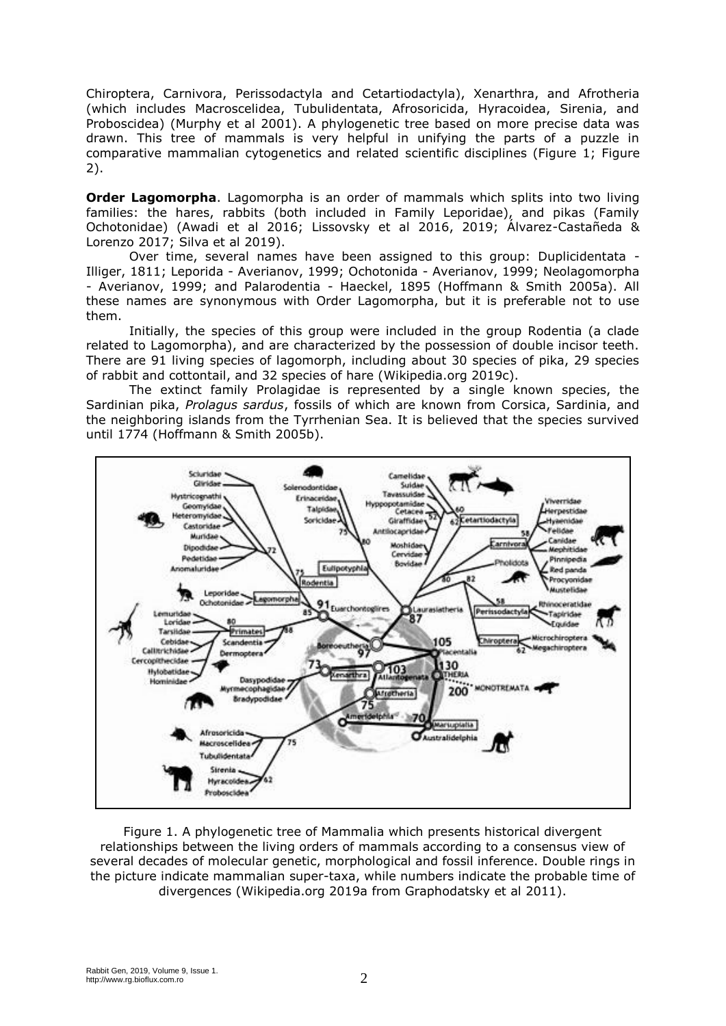Chiroptera, Carnivora, Perissodactyla and Cetartiodactyla), Xenarthra, and Afrotheria (which includes Macroscelidea, Tubulidentata, Afrosoricida, Hyracoidea, Sirenia, and Proboscidea) (Murphy et al 2001). A phylogenetic tree based on more precise data was drawn. This tree of mammals is very helpful in unifying the parts of a puzzle in comparative mammalian cytogenetics and related scientific disciplines (Figure 1; Figure 2).

**Order Lagomorpha**. Lagomorpha is an order of mammals which splits into two living families: the hares, rabbits (both included in Family Leporidae), and pikas (Family Ochotonidae) (Awadi et al 2016; Lissovsky et al 2016, 2019; Álvarez-Castañeda & Lorenzo 2017; Silva et al 2019).

Over time, several names have been assigned to this group: Duplicidentata - Illiger, 1811; Leporida - Averianov, 1999; Ochotonida - Averianov, 1999; Neolagomorpha - Averianov, 1999; and Palarodentia - Haeckel, 1895 (Hoffmann & Smith 2005a). All these names are synonymous with Order Lagomorpha, but it is preferable not to use them.

Initially, the species of this group were included in the group Rodentia (a clade related to Lagomorpha), and are characterized by the possession of double incisor teeth. There are 91 living species of lagomorph, including about 30 species of pika, 29 species of rabbit and cottontail, and 32 species of hare (Wikipedia.org 2019c).

The extinct family Prolagidae is represented by a single known species, the Sardinian pika, *Prolagus sardus*, fossils of which are known from Corsica, Sardinia, and the neighboring islands from the Tyrrhenian Sea. It is believed that the species survived until 1774 (Hoffmann & Smith 2005b).



Figure 1. A phylogenetic tree of Mammalia which presents historical divergent relationships between the living orders of mammals according to a consensus view of several decades of molecular genetic, morphological and fossil inference. Double rings in the picture indicate mammalian super-taxa, while numbers indicate the probable time of divergences (Wikipedia.org 2019a from Graphodatsky et al 2011).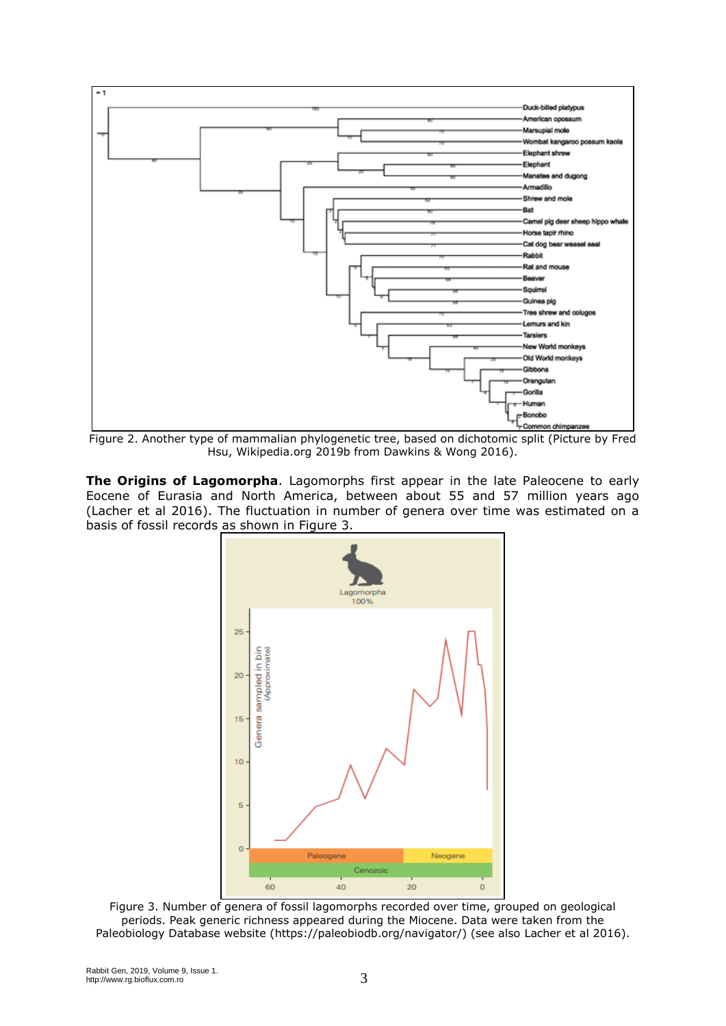

Figure 2. Another type of mammalian phylogenetic tree, based on dichotomic split (Picture by Fred Hsu, Wikipedia.org 2019b from Dawkins & Wong 2016).

**The Origins of Lagomorpha**. Lagomorphs first appear in the late Paleocene to early Eocene of Eurasia and North America, between about 55 and 57 million years ago (Lacher et al 2016). The fluctuation in number of genera over time was estimated on a basis of fossil records as shown in Figure 3.



Figure 3. Number of genera of fossil lagomorphs recorded over time, grouped on geological periods. Peak generic richness appeared during the Miocene. Data were taken from the Paleobiology Database website (https://paleobiodb.org/navigator/) (see also Lacher et al 2016).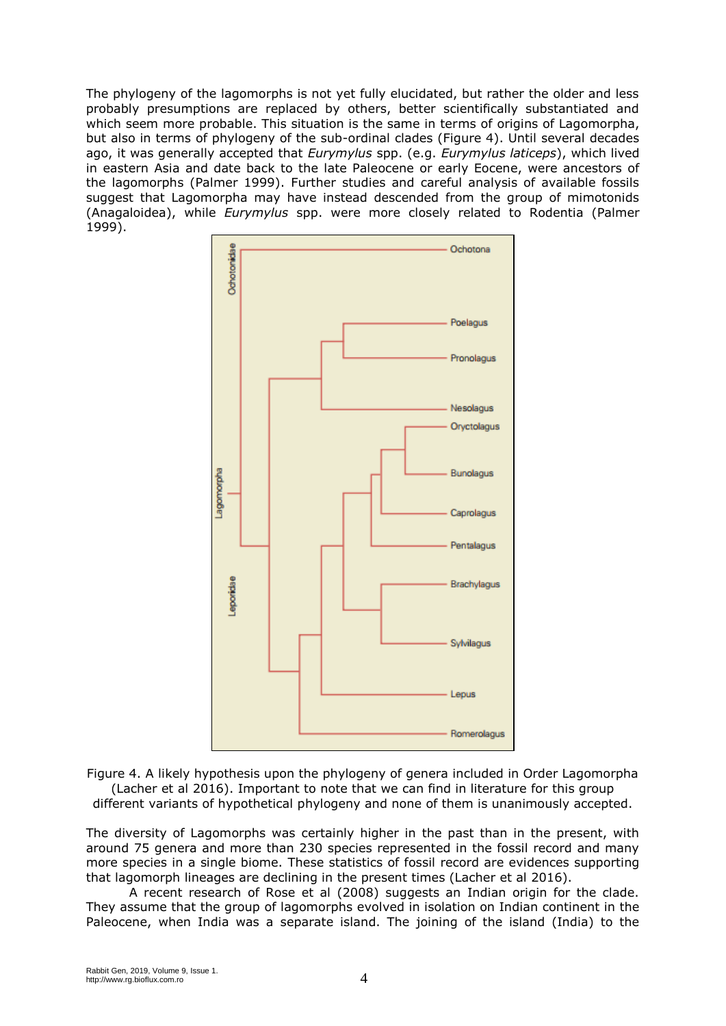The phylogeny of the lagomorphs is not yet fully elucidated, but rather the older and less probably presumptions are replaced by others, better scientifically substantiated and which seem more probable. This situation is the same in terms of origins of Lagomorpha, but also in terms of phylogeny of the sub-ordinal clades (Figure 4). Until several decades ago, it was generally accepted that *Eurymylus* spp. (e.g. *Eurymylus laticeps*), which lived in eastern Asia and date back to the late Paleocene or early Eocene, were ancestors of the lagomorphs (Palmer 1999). Further studies and careful analysis of available fossils suggest that Lagomorpha may have instead descended from the group of mimotonids (Anagaloidea), while *Eurymylus* spp. were more closely related to Rodentia (Palmer 1999).



Figure 4. A likely hypothesis upon the phylogeny of genera included in Order Lagomorpha (Lacher et al 2016). Important to note that we can find in literature for this group different variants of hypothetical phylogeny and none of them is unanimously accepted.

The diversity of Lagomorphs was certainly higher in the past than in the present, with around 75 genera and more than 230 species represented in the fossil record and many more species in a single biome. These statistics of fossil record are evidences supporting that lagomorph lineages are declining in the present times (Lacher et al 2016).

A recent research of Rose et al (2008) suggests an Indian origin for the clade. They assume that the group of lagomorphs evolved in isolation on Indian continent in the Paleocene, when India was a separate island. The joining of the island (India) to the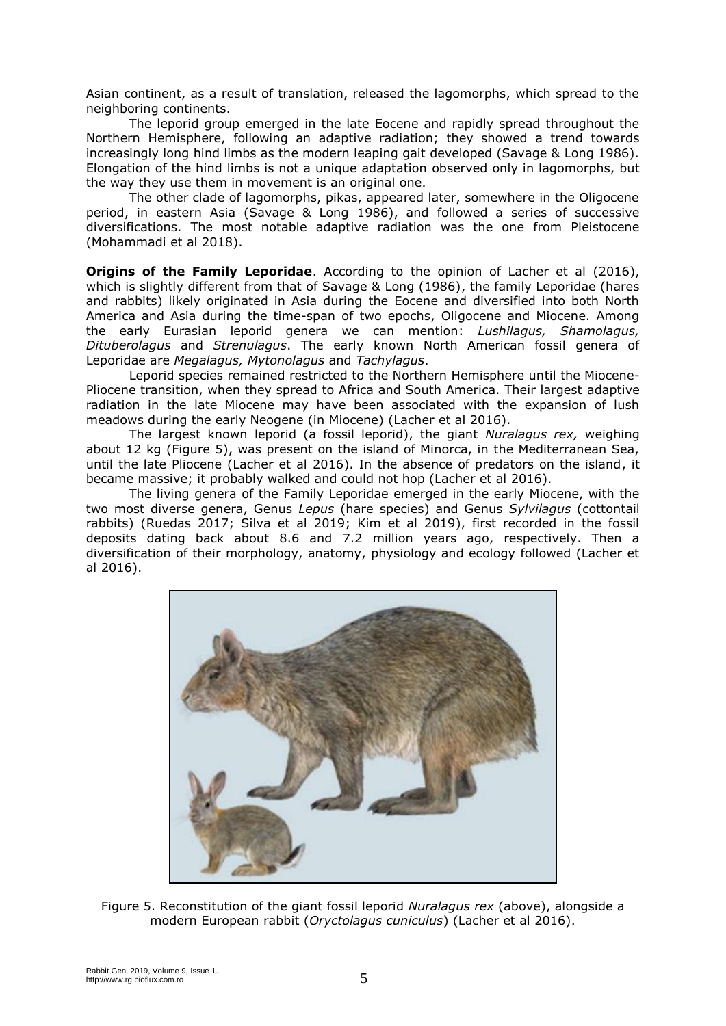Asian continent, as a result of translation, released the lagomorphs, which spread to the neighboring continents.

The leporid group emerged in the late Eocene and rapidly spread throughout the Northern Hemisphere, following an adaptive radiation; they showed a trend towards increasingly long hind limbs as the modern leaping gait developed (Savage & Long 1986). Elongation of the hind limbs is not a unique adaptation observed only in lagomorphs, but the way they use them in movement is an original one.

The other clade of lagomorphs, pikas, appeared later, somewhere in the Oligocene period, in eastern Asia (Savage & Long 1986), and followed a series of successive diversifications. The most notable adaptive radiation was the one from Pleistocene (Mohammadi et al 2018).

**Origins of the Family Leporidae**. According to the opinion of Lacher et al (2016), which is slightly different from that of Savage & Long (1986), the family Leporidae (hares and rabbits) likely originated in Asia during the Eocene and diversified into both North America and Asia during the time-span of two epochs, Oligocene and Miocene. Among the early Eurasian leporid genera we can mention: *Lushilagus, Shamolagus, Dituberolagus* and *Strenulagus*. The early known North American fossil genera of Leporidae are *Megalagus, Mytonolagus* and *Tachylagus*.

Leporid species remained restricted to the Northern Hemisphere until the Miocene-Pliocene transition, when they spread to Africa and South America. Their largest adaptive radiation in the late Miocene may have been associated with the expansion of lush meadows during the early Neogene (in Miocene) (Lacher et al 2016).

The largest known leporid (a fossil leporid), the giant *Nuralagus rex,* weighing about 12 kg (Figure 5), was present on the island of Minorca, in the Mediterranean Sea, until the late Pliocene (Lacher et al 2016). In the absence of predators on the island, it became massive; it probably walked and could not hop (Lacher et al 2016).

The living genera of the Family Leporidae emerged in the early Miocene, with the two most diverse genera, Genus *Lepus* (hare species) and Genus *Sylvilagus* (cottontail rabbits) (Ruedas 2017; Silva et al 2019; Kim et al 2019), first recorded in the fossil deposits dating back about 8.6 and 7.2 million years ago, respectively. Then a diversification of their morphology, anatomy, physiology and ecology followed (Lacher et al 2016).



Figure 5. Reconstitution of the giant fossil leporid *Nuralagus rex* (above), alongside a modern European rabbit (*Oryctolagus cuniculus*) (Lacher et al 2016).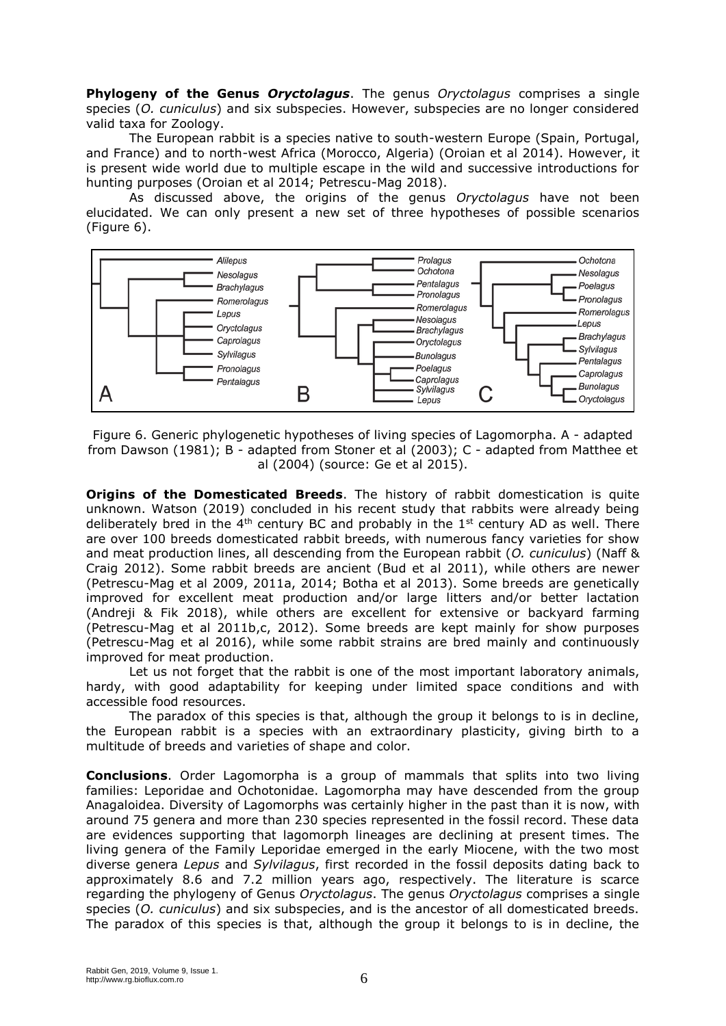**Phylogeny of the Genus** *Oryctolagus*. The genus *Oryctolagus* comprises a single species (*O. cuniculus*) and six subspecies. However, subspecies are no longer considered valid taxa for Zoology.

The European rabbit is a species native to south-western Europe (Spain, Portugal, and France) and to north-west Africa (Morocco, Algeria) (Oroian et al 2014). However, it is present wide world due to multiple escape in the wild and successive introductions for hunting purposes (Oroian et al 2014; Petrescu-Mag 2018).

As discussed above, the origins of the genus *Oryctolagus* have not been elucidated. We can only present a new set of three hypotheses of possible scenarios (Figure 6).



Figure 6. Generic phylogenetic hypotheses of living species of Lagomorpha. A - adapted from Dawson (1981); B - adapted from Stoner et al (2003); C - adapted from Matthee et al (2004) (source: Ge et al 2015).

**Origins of the Domesticated Breeds**. The history of rabbit domestication is quite unknown. Watson (2019) concluded in his recent study that rabbits were already being deliberately bred in the  $4<sup>th</sup>$  century BC and probably in the  $1<sup>st</sup>$  century AD as well. There are over 100 breeds domesticated rabbit breeds, with numerous fancy varieties for show and meat production lines, all descending from the European rabbit (*O. cuniculus*) (Naff & Craig 2012). Some rabbit breeds are ancient (Bud et al 2011), while others are newer (Petrescu-Mag et al 2009, 2011a, 2014; Botha et al 2013). Some breeds are genetically improved for excellent meat production and/or large litters and/or better lactation (Andreji & Fik 2018), while others are excellent for extensive or backyard farming (Petrescu-Mag et al 2011b,c, 2012). Some breeds are kept mainly for show purposes (Petrescu-Mag et al 2016), while some rabbit strains are bred mainly and continuously improved for meat production.

Let us not forget that the rabbit is one of the most important laboratory animals, hardy, with good adaptability for keeping under limited space conditions and with accessible food resources.

The paradox of this species is that, although the group it belongs to is in decline, the European rabbit is a species with an extraordinary plasticity, giving birth to a multitude of breeds and varieties of shape and color.

**Conclusions**. Order Lagomorpha is a group of mammals that splits into two living families: Leporidae and Ochotonidae. Lagomorpha may have descended from the group Anagaloidea. Diversity of Lagomorphs was certainly higher in the past than it is now, with around 75 genera and more than 230 species represented in the fossil record. These data are evidences supporting that lagomorph lineages are declining at present times. The living genera of the Family Leporidae emerged in the early Miocene, with the two most diverse genera *Lepus* and *Sylvilagus*, first recorded in the fossil deposits dating back to approximately 8.6 and 7.2 million years ago, respectively. The literature is scarce regarding the phylogeny of Genus *Oryctolagus*. The genus *Oryctolagus* comprises a single species (*O. cuniculus*) and six subspecies, and is the ancestor of all domesticated breeds. The paradox of this species is that, although the group it belongs to is in decline, the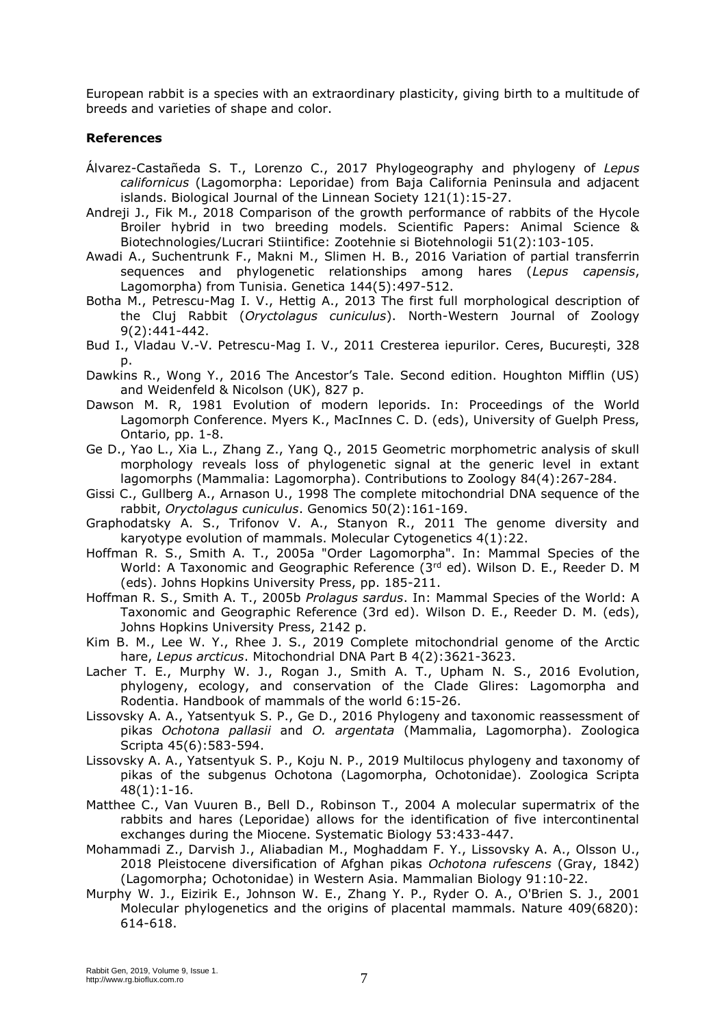European rabbit is a species with an extraordinary plasticity, giving birth to a multitude of breeds and varieties of shape and color.

## **References**

- Álvarez-Castañeda S. T., Lorenzo C., 2017 Phylogeography and phylogeny of *Lepus californicus* (Lagomorpha: Leporidae) from Baja California Peninsula and adjacent islands. Biological Journal of the Linnean Society 121(1):15-27.
- Andreji J., Fik M., 2018 Comparison of the growth performance of rabbits of the Hycole Broiler hybrid in two breeding models. Scientific Papers: Animal Science & Biotechnologies/Lucrari Stiintifice: Zootehnie si Biotehnologii 51(2):103-105.
- Awadi A., Suchentrunk F., Makni M., Slimen H. B., 2016 Variation of partial transferrin sequences and phylogenetic relationships among hares (*Lepus capensis*, Lagomorpha) from Tunisia. Genetica 144(5):497-512.
- Botha M., Petrescu-Mag I. V., Hettig A., 2013 The first full morphological description of the Cluj Rabbit (*Oryctolagus cuniculus*). North-Western Journal of Zoology 9(2):441-442.
- Bud I., Vladau V.-V. Petrescu-Mag I. V., 2011 Cresterea iepurilor. Ceres, București, 328 p.
- Dawkins R., Wong Y., 2016 The Ancestor's Tale. Second edition. Houghton Mifflin (US) and Weidenfeld & Nicolson (UK), 827 p.
- Dawson M. R, 1981 Evolution of modern leporids. In: Proceedings of the World Lagomorph Conference. Myers K., MacInnes C. D. (eds), University of Guelph Press, Ontario, pp. 1-8.
- Ge D., Yao L., Xia L., Zhang Z., Yang Q., 2015 Geometric morphometric analysis of skull morphology reveals loss of phylogenetic signal at the generic level in extant lagomorphs (Mammalia: Lagomorpha). Contributions to Zoology 84(4):267-284.
- Gissi C., Gullberg A., Arnason U., 1998 The complete mitochondrial DNA sequence of the rabbit, *Oryctolagus cuniculus*. Genomics 50(2):161-169.
- Graphodatsky A. S., Trifonov V. A., Stanyon R., 2011 The genome diversity and karyotype evolution of mammals. Molecular Cytogenetics 4(1):22.
- Hoffman R. S., Smith A. T., 2005a "Order Lagomorpha". In: Mammal Species of the World: A Taxonomic and Geographic Reference  $(3<sup>rd</sup>$  ed). Wilson D. E., Reeder D. M (eds). Johns Hopkins University Press, pp. 185-211.
- Hoffman R. S., Smith A. T., 2005b *Prolagus sardus*. In: Mammal Species of the World: A Taxonomic and Geographic Reference (3rd ed). Wilson D. E., Reeder D. M. (eds), Johns Hopkins University Press, 2142 p.
- Kim B. M., Lee W. Y., Rhee J. S., 2019 Complete mitochondrial genome of the Arctic hare, *Lepus arcticus*. Mitochondrial DNA Part B 4(2):3621-3623.
- Lacher T. E., Murphy W. J., Rogan J., Smith A. T., Upham N. S., 2016 Evolution, phylogeny, ecology, and conservation of the Clade Glires: Lagomorpha and Rodentia. Handbook of mammals of the world 6:15-26.
- Lissovsky A. A., Yatsentyuk S. P., Ge D., 2016 Phylogeny and taxonomic reassessment of pikas *Ochotona pallasii* and *O. argentata* (Mammalia, Lagomorpha). Zoologica Scripta 45(6):583-594.
- Lissovsky A. A., Yatsentyuk S. P., Koju N. P., 2019 Multilocus phylogeny and taxonomy of pikas of the subgenus Ochotona (Lagomorpha, Ochotonidae). Zoologica Scripta 48(1):1-16.
- Matthee C., Van Vuuren B., Bell D., Robinson T., 2004 A molecular supermatrix of the rabbits and hares (Leporidae) allows for the identification of five intercontinental exchanges during the Miocene. Systematic Biology 53:433-447.
- Mohammadi Z., Darvish J., Aliabadian M., Moghaddam F. Y., Lissovsky A. A., Olsson U., 2018 Pleistocene diversification of Afghan pikas *Ochotona rufescens* (Gray, 1842) (Lagomorpha; Ochotonidae) in Western Asia. Mammalian Biology 91:10-22.
- Murphy W. J., Eizirik E., Johnson W. E., Zhang Y. P., Ryder O. A., O'Brien S. J., 2001 Molecular phylogenetics and the origins of placental mammals. Nature 409(6820): 614-618.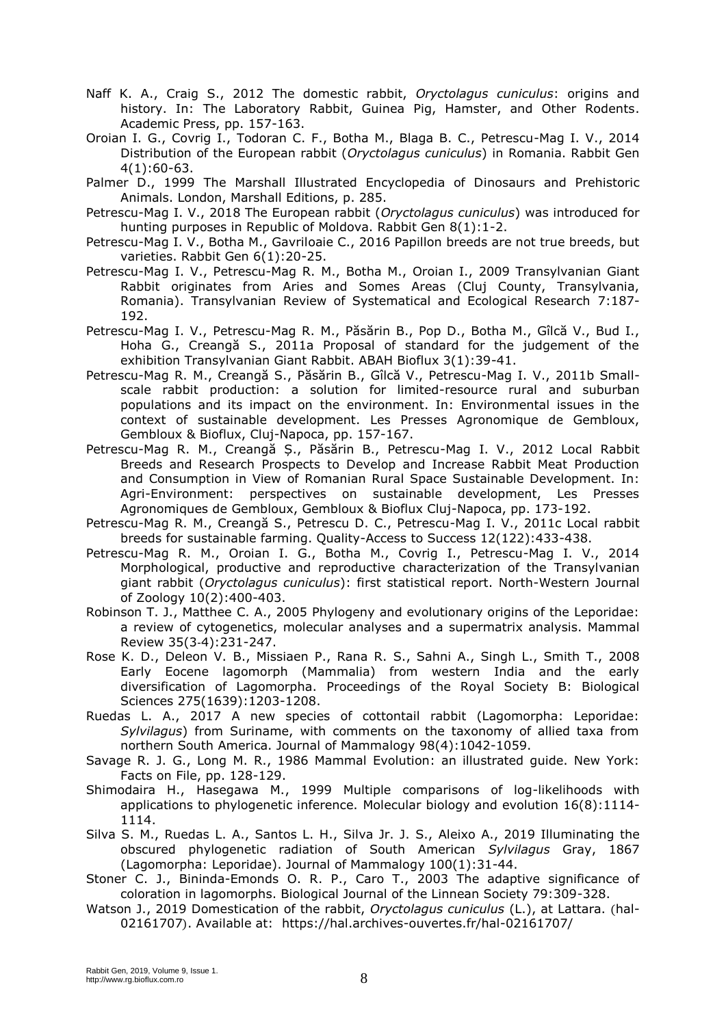- Naff K. A., Craig S., 2012 The domestic rabbit, *Oryctolagus cuniculus*: origins and history. In: The Laboratory Rabbit, Guinea Pig, Hamster, and Other Rodents. Academic Press, pp. 157-163.
- Oroian I. G., Covrig I., Todoran C. F., Botha M., Blaga B. C., Petrescu-Mag I. V., 2014 Distribution of the European rabbit (*Oryctolagus cuniculus*) in Romania. Rabbit Gen 4(1):60-63.
- Palmer D., 1999 The Marshall Illustrated Encyclopedia of Dinosaurs and Prehistoric Animals. London, Marshall Editions, p. 285.
- Petrescu-Mag I. V., 2018 The European rabbit (*Oryctolagus cuniculus*) was introduced for hunting purposes in Republic of Moldova. Rabbit Gen 8(1):1-2.
- Petrescu-Mag I. V., Botha M., Gavriloaie C., 2016 Papillon breeds are not true breeds, but varieties. Rabbit Gen 6(1):20-25.
- Petrescu-Mag I. V., Petrescu-Mag R. M., Botha M., Oroian I., 2009 Transylvanian Giant Rabbit originates from Aries and Somes Areas (Cluj County, Transylvania, Romania). Transylvanian Review of Systematical and Ecological Research 7:187- 192.
- Petrescu-Mag I. V., Petrescu-Mag R. M., Păsărin B., Pop D., Botha M., Gîlcă V., Bud I., Hoha G., Creangă S., 2011a Proposal of standard for the judgement of the exhibition Transylvanian Giant Rabbit. ABAH Bioflux 3(1):39-41.
- Petrescu-Mag R. M., Creangă S., Păsărin B., Gîlcă V., Petrescu-Mag I. V., 2011b Smallscale rabbit production: a solution for limited-resource rural and suburban populations and its impact on the environment. In: Environmental issues in the context of sustainable development. Les Presses Agronomique de Gembloux, Gembloux & Bioflux, Cluj-Napoca, pp. 157-167.
- Petrescu-Mag R. M., Creangă Ș., Păsărin B., Petrescu-Mag I. V., 2012 Local Rabbit Breeds and Research Prospects to Develop and Increase Rabbit Meat Production and Consumption in View of Romanian Rural Space Sustainable Development. In: Agri-Environment: perspectives on sustainable development, Les Presses Agronomiques de Gembloux, Gembloux & Bioflux Cluj-Napoca, pp. 173-192.
- Petrescu-Mag R. M., Creangă S., Petrescu D. C., Petrescu-Mag I. V., 2011c Local rabbit breeds for sustainable farming. Quality-Access to Success 12(122):433-438.
- Petrescu-Mag R. M., Oroian I. G., Botha M., Covrig I., Petrescu-Mag I. V., 2014 Morphological, productive and reproductive characterization of the Transylvanian giant rabbit (*Oryctolagus cuniculus*): first statistical report. North-Western Journal of Zoology 10(2):400-403.
- Robinson T. J., Matthee C. A., 2005 Phylogeny and evolutionary origins of the Leporidae: a review of cytogenetics, molecular analyses and a supermatrix analysis. Mammal Review 35(3‐4):231-247.
- Rose K. D., Deleon V. B., Missiaen P., Rana R. S., Sahni A., Singh L., Smith T., 2008 Early Eocene lagomorph (Mammalia) from western India and the early diversification of Lagomorpha. Proceedings of the Royal Society B: Biological Sciences 275(1639):1203-1208.
- Ruedas L. A., 2017 A new species of cottontail rabbit (Lagomorpha: Leporidae: *Sylvilagus*) from Suriname, with comments on the taxonomy of allied taxa from northern South America. Journal of Mammalogy 98(4):1042-1059.
- Savage R. J. G., Long M. R., 1986 Mammal Evolution: an illustrated guide. New York: Facts on File, pp. 128-129.
- Shimodaira H., Hasegawa M., 1999 Multiple comparisons of log-likelihoods with applications to phylogenetic inference. Molecular biology and evolution 16(8):1114- 1114.
- Silva S. M., Ruedas L. A., Santos L. H., Silva Jr. J. S., Aleixo A., 2019 Illuminating the obscured phylogenetic radiation of South American *Sylvilagus* Gray, 1867 (Lagomorpha: Leporidae). Journal of Mammalogy 100(1):31-44.
- Stoner C. J., Bininda-Emonds O. R. P., Caro T., 2003 The adaptive significance of coloration in lagomorphs. Biological Journal of the Linnean Society 79:309-328.
- Watson J., 2019 Domestication of the rabbit, *Oryctolagus cuniculus* (L.), at Lattara. (hal-02161707). Available at: https://hal.archives-ouvertes.fr/hal-02161707/